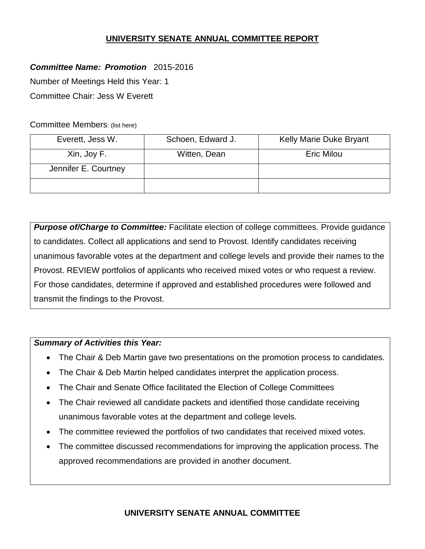# **UNIVERSITY SENATE ANNUAL COMMITTEE REPORT**

# *Committee Name: Promotion* 2015-2016

Number of Meetings Held this Year: 1

Committee Chair: Jess W Everett

Committee Members: (list here)

| Everett, Jess W.     | Schoen, Edward J. | Kelly Marie Duke Bryant |
|----------------------|-------------------|-------------------------|
| Xin, Joy F.          | Witten, Dean      | <b>Eric Milou</b>       |
| Jennifer E. Courtney |                   |                         |
|                      |                   |                         |

**Purpose of/Charge to Committee:** Facilitate election of college committees. Provide guidance to candidates. Collect all applications and send to Provost. Identify candidates receiving unanimous favorable votes at the department and college levels and provide their names to the Provost. REVIEW portfolios of applicants who received mixed votes or who request a review. For those candidates, determine if approved and established procedures were followed and transmit the findings to the Provost.

### *Summary of Activities this Year:*

- The Chair & Deb Martin gave two presentations on the promotion process to candidates.
- The Chair & Deb Martin helped candidates interpret the application process.
- The Chair and Senate Office facilitated the Election of College Committees
- The Chair reviewed all candidate packets and identified those candidate receiving unanimous favorable votes at the department and college levels.
- The committee reviewed the portfolios of two candidates that received mixed votes.
- The committee discussed recommendations for improving the application process. The approved recommendations are provided in another document.